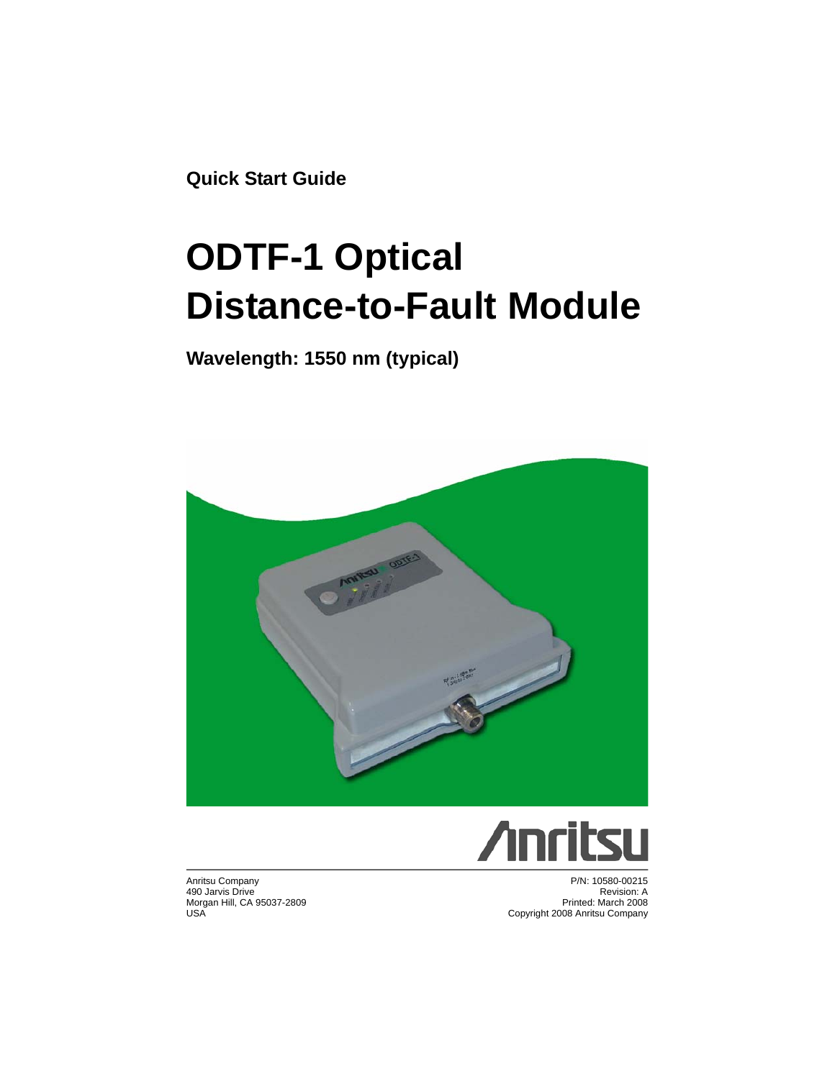**Quick Start Guide**

# **ODTF-1 Optical Distance-to-Fault Module**

#### **Wavelength: 1550 nm (typical)**





Anritsu Company 490 Jarvis Drive Morgan Hill, CA 95037-2809 USA

P/N: 10580-00215 Revision: A Printed: March 2008 Copyright 2008 Anritsu Company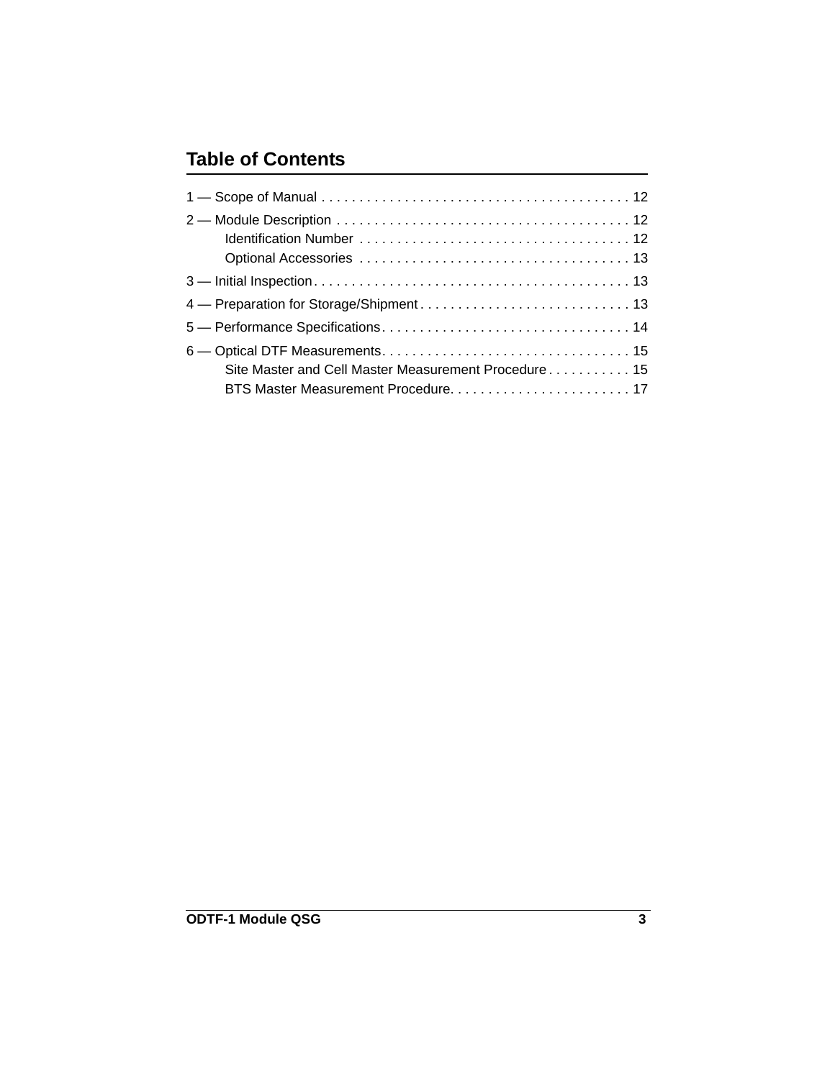#### **Table of Contents**

| Site Master and Cell Master Measurement Procedure 15 |
|------------------------------------------------------|
|                                                      |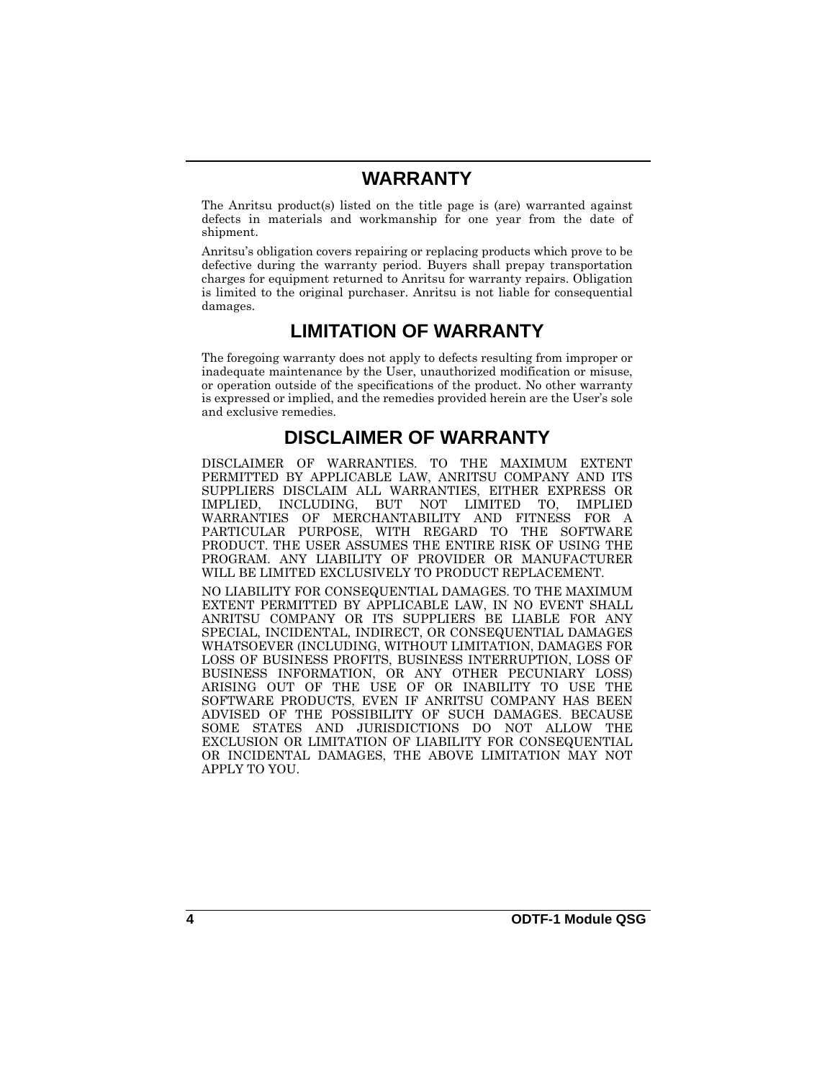#### **WARRANTY**

The Anritsu product(s) listed on the title page is (are) warranted against defects in materials and workmanship for one year from the date of shipment.

Anritsu's obligation covers repairing or replacing products which prove to be defective during the warranty period. Buyers shall prepay transportation charges for equipment returned to Anritsu for warranty repairs. Obligation is limited to the original purchaser. Anritsu is not liable for consequential damages.

#### **LIMITATION OF WARRANTY**

The foregoing warranty does not apply to defects resulting from improper or inadequate maintenance by the User, unauthorized modification or misuse, or operation outside of the specifications of the product. No other warranty is expressed or implied, and the remedies provided herein are the User's sole and exclusive remedies.

#### **DISCLAIMER OF WARRANTY**

DISCLAIMER OF WARRANTIES. TO THE MAXIMUM EXTENT PERMITTED BY APPLICABLE LAW, ANRITSU COMPANY AND ITS SUPPLIERS DISCLAIM ALL WARRANTIES, EITHER EXPRESS OR IMPLIED, INCLUDING, BUT NOT LIMITED TO, IMPLIED WARRANTIES OF MERCHANTABILITY AND FITNESS FOR A PURPOSE, WITH REGARD TO THE SOFTWARE PRODUCT. THE USER ASSUMES THE ENTIRE RISK OF USING THE PROGRAM. ANY LIABILITY OF PROVIDER OR MANUFACTURER WILL BE LIMITED EXCLUSIVELY TO PRODUCT REPLACEMENT.

NO LIABILITY FOR CONSEQUENTIAL DAMAGES. TO THE MAXIMUM EXTENT PERMITTED BY APPLICABLE LAW, IN NO EVENT SHALL ANRITSU COMPANY OR ITS SUPPLIERS BE LIABLE FOR ANY SPECIAL, INCIDENTAL, INDIRECT, OR CONSEQUENTIAL DAMAGES WHATSOEVER (INCLUDING, WITHOUT LIMITATION, DAMAGES FOR LOSS OF BUSINESS PROFITS, BUSINESS INTERRUPTION, LOSS OF BUSINESS INFORMATION, OR ANY OTHER PECUNIARY LOSS) ARISING OUT OF THE USE OF OR INABILITY TO USE THE SOFTWARE PRODUCTS, EVEN IF ANRITSU COMPANY HAS BEEN ADVISED OF THE POSSIBILITY OF SUCH DAMAGES. BECAUSE SOME STATES AND JURISDICTIONS DO NOT ALLOW THE EXCLUSION OR LIMITATION OF LIABILITY FOR CONSEQUENTIAL OR INCIDENTAL DAMAGES, THE ABOVE LIMITATION MAY NOT APPLY TO YOU.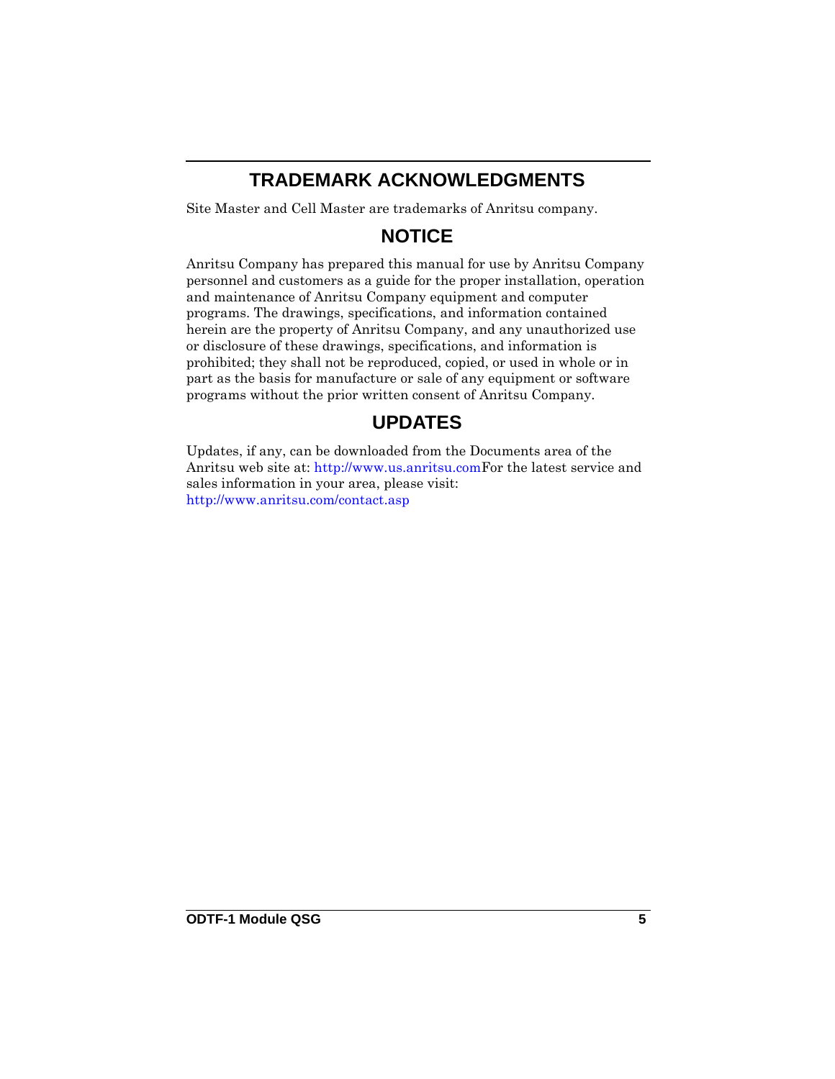## **TRADEMARK ACKNOWLEDGMENTS**

Site Master and Cell Master are trademarks of Anritsu company.

#### **NOTICE**

Anritsu Company has prepared this manual for use by Anritsu Company personnel and customers as a guide for the proper installation, operation and maintenance of Anritsu Company equipment and computer programs. The drawings, specifications, and information contained herein are the property of Anritsu Company, and any unauthorized use or disclosure of these drawings, specifications, and information is prohibited; they shall not be reproduced, copied, or used in whole or in part as the basis for manufacture or sale of any equipment or software programs without the prior written consent of Anritsu Company.

## **UPDATES**

Updates, if any, can be downloaded from the Documents area of the Anritsu web site at:<http://www.us.anritsu.com>For the latest service and sales information in your area, please visit: [http://www.anritsu.com/contact.asp](http://www.anritsu.com/Contact.asp)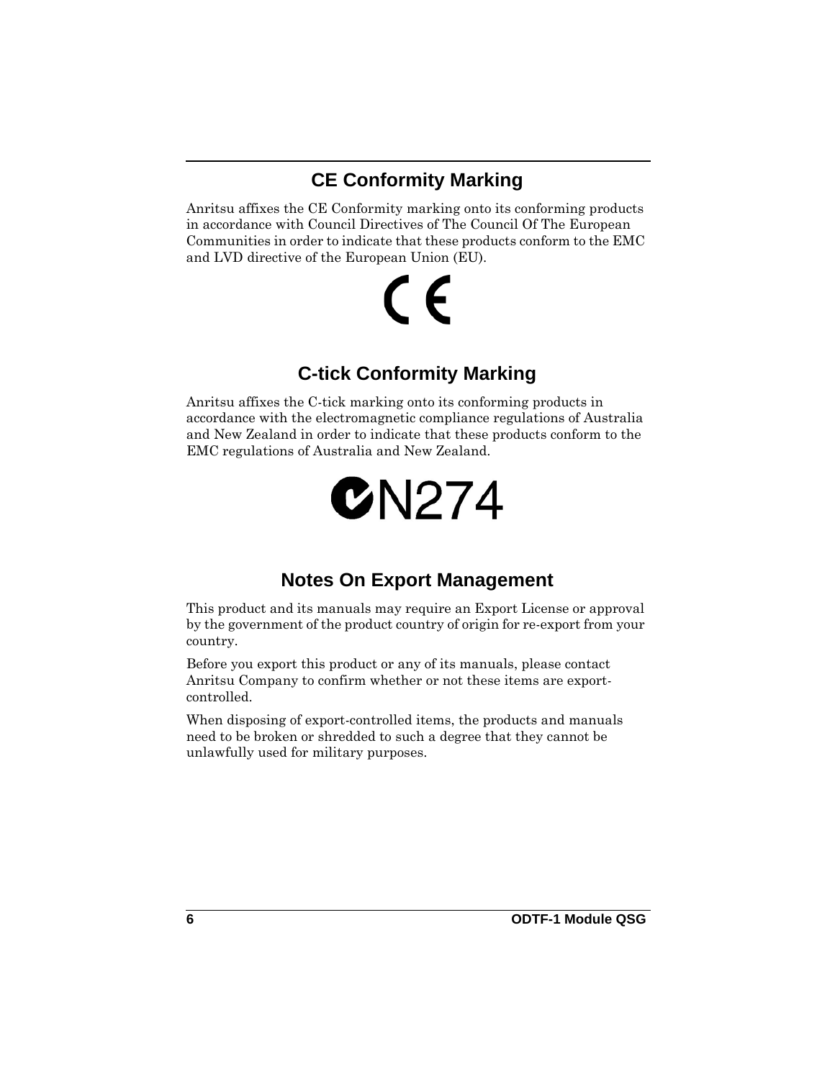## **CE Conformity Marking**

Anritsu affixes the CE Conformity marking onto its conforming products in accordance with Council Directives of The Council Of The European Communities in order to indicate that these products conform to the EMC and LVD directive of the European Union (EU).

# C E

#### **C-tick Conformity Marking**

Anritsu affixes the C-tick marking onto its conforming products in accordance with the electromagnetic compliance regulations of Australia and New Zealand in order to indicate that these products conform to the EMC regulations of Australia and New Zealand.

# $C$ N $274$

#### **Notes On Export Management**

This product and its manuals may require an Export License or approval by the government of the product country of origin for re-export from your country.

Before you export this product or any of its manuals, please contact Anritsu Company to confirm whether or not these items are exportcontrolled.

When disposing of export-controlled items, the products and manuals need to be broken or shredded to such a degree that they cannot be unlawfully used for military purposes.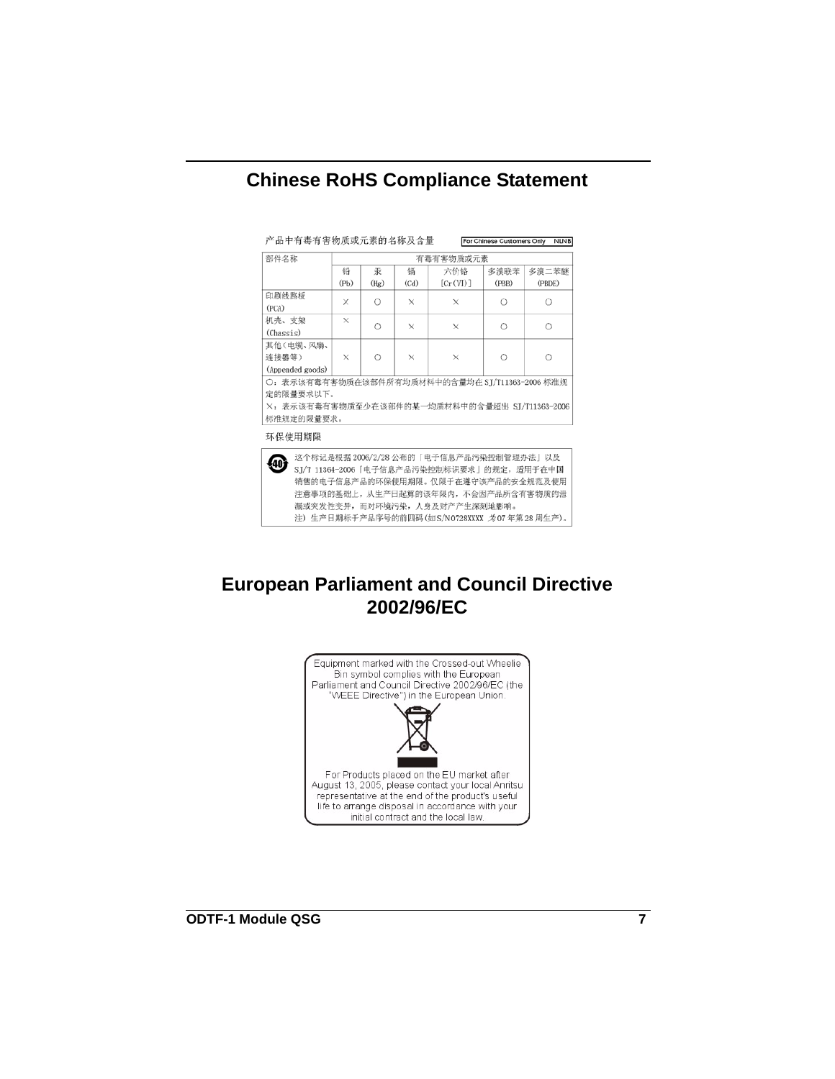#### **Chinese RoHS Compliance Statement**

产品中有毒有害物质或元素的名称及含量

For Chinese Customers Only NLNB

| 部件名称                                            | 有毒有害物质或元素 |            |          |          |       |        |
|-------------------------------------------------|-----------|------------|----------|----------|-------|--------|
|                                                 | 铅         | 汞          | 镉        | 六价铬      | 多溴联苯  | 多溴二苯醚  |
|                                                 | (Pb)      | (Hg)       | (Cd)     | [Cr(VI)] | (PBB) | (PBDE) |
| 印刷线路板                                           | ×         | О          | X        | ×        | Ó     |        |
| (PCA)                                           |           |            |          |          |       |        |
| 机壳、支架                                           | $\times$  | Ω          | X        | $\times$ | Ω     | ∩      |
| (Chassis)                                       |           |            |          |          |       |        |
| 其他(电缆、风扇、                                       |           |            |          |          |       |        |
| 连接器等)                                           | X         | $\bigcirc$ | $\times$ | $\times$ | Ö     | ∩      |
| (Appended goods)                                |           |            |          |          |       |        |
| 〇: 表示该有毒有害物质在该部件所有均质材料中的含量均在 SI/T11363-2006 标准规 |           |            |          |          |       |        |
| 定的限量要求以下。                                       |           |            |          |          |       |        |
| ×: 表示该有毒有害物质至少在该部件的某一均质材料中的含量超出 SI/T11363-2006  |           |            |          |          |       |        |
| 标准规定的限量要求。                                      |           |            |          |          |       |        |

环保使用期限

这个标记是根据 2006/2/28 公布的「电子信息产品污染控制管理办法」以及 SI/T 11364-2006「电子信息产品污染控制标识要求」的规定, 适用于在中国 销售的电子信息产品的环保使用期限。仅限于在遵守该产品的安全规范及使用 注意事项的基础上,从生产日起算的该年限内,不会因产品所含有害物质的泄 漏或突发性变异, 而对环境污染, 人身及财产产生深刻地影响。 注) 生产日期标于产品序号的前四码(如S/N0728XXXX 为07年第28周生产)。

#### **European Parliament and Council Directive 2002/96/EC**

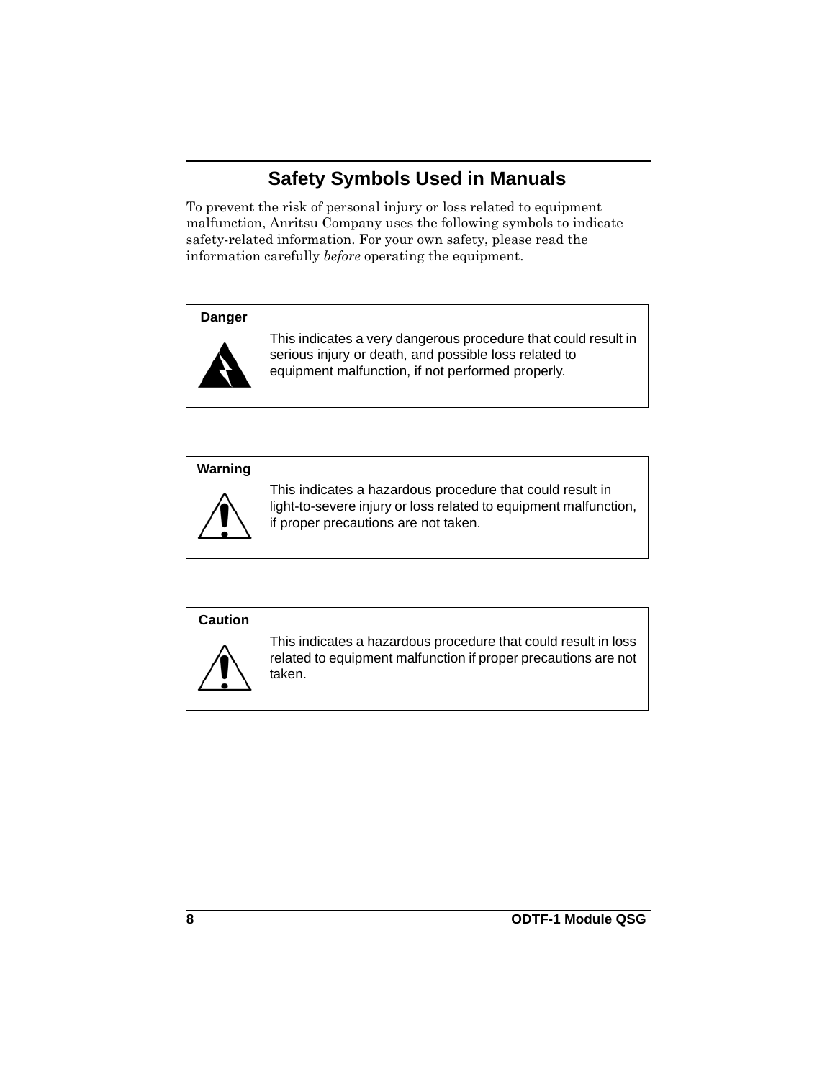#### **Safety Symbols Used in Manuals**

To prevent the risk of personal injury or loss related to equipment malfunction, Anritsu Company uses the following symbols to indicate safety-related information. For your own safety, please read the information carefully *before* operating the equipment.

#### **Danger**



This indicates a very dangerous procedure that could result in serious injury or death, and possible loss related to equipment malfunction, if not performed properly.

#### **Warning**



This indicates a hazardous procedure that could result in light-to-severe injury or loss related to equipment malfunction, if proper precautions are not taken.

#### **Caution**



This indicates a hazardous procedure that could result in loss related to equipment malfunction if proper precautions are not taken.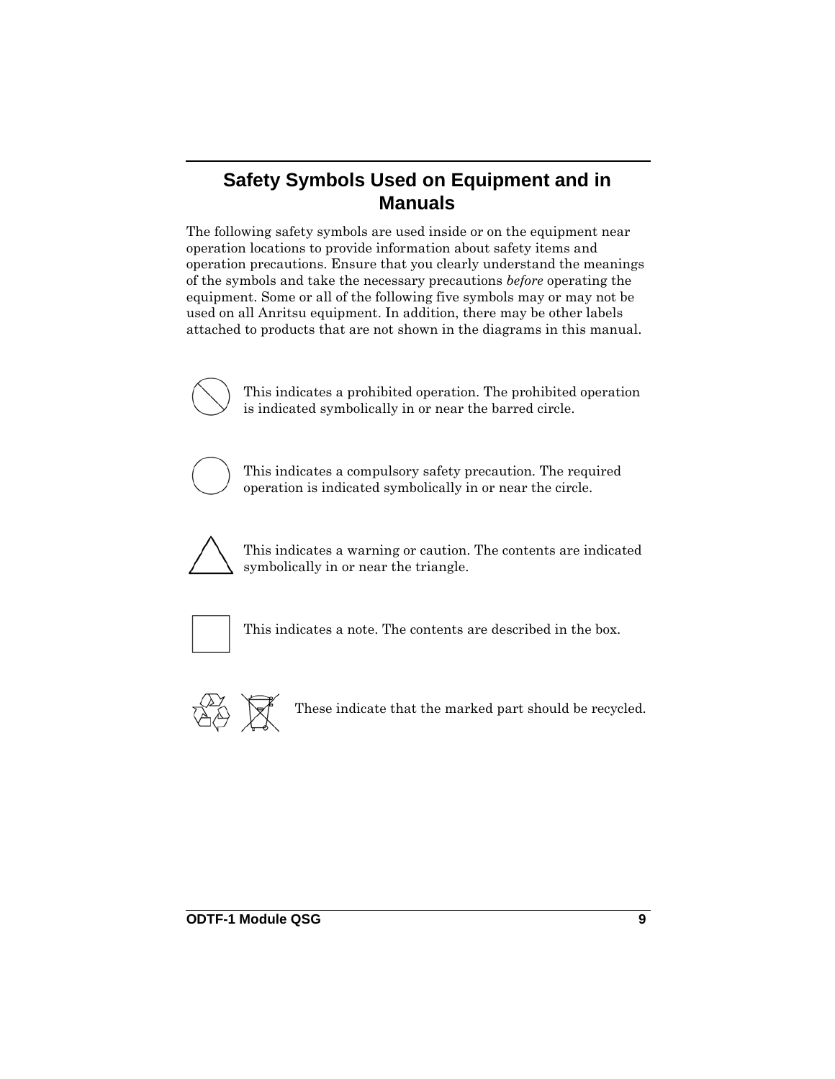#### **Safety Symbols Used on Equipment and in Manuals**

The following safety symbols are used inside or on the equipment near operation locations to provide information about safety items and operation precautions. Ensure that you clearly understand the meanings of the symbols and take the necessary precautions *before* operating the equipment. Some or all of the following five symbols may or may not be used on all Anritsu equipment. In addition, there may be other labels attached to products that are not shown in the diagrams in this manual.



This indicates a prohibited operation. The prohibited operation is indicated symbolically in or near the barred circle.



This indicates a compulsory safety precaution. The required operation is indicated symbolically in or near the circle.



This indicates a warning or caution. The contents are indicated symbolically in or near the triangle.



This indicates a note. The contents are described in the box.



These indicate that the marked part should be recycled.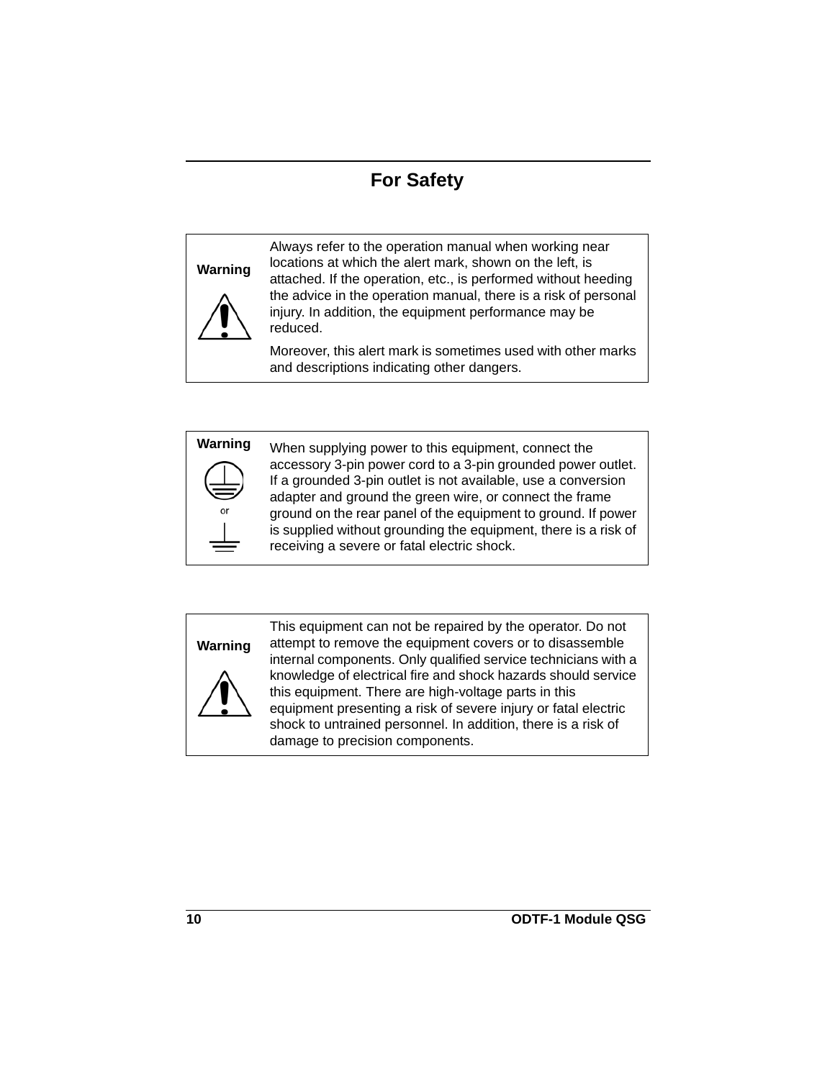#### **For Safety**

#### **Warning**



Always refer to the operation manual when working near locations at which the alert mark, shown on the left, is attached. If the operation, etc., is performed without heeding the advice in the operation manual, there is a risk of personal injury. In addition, the equipment performance may be reduced.

Moreover, this alert mark is sometimes used with other marks and descriptions indicating other dangers.



**Warning** When supplying power to this equipment, connect the accessory 3-pin power cord to a 3-pin grounded power outlet. If a grounded 3-pin outlet is not available, use a conversion adapter and ground the green wire, or connect the frame ground on the rear panel of the equipment to ground. If power is supplied without grounding the equipment, there is a risk of receiving a severe or fatal electric shock.

# **Warning**



This equipment can not be repaired by the operator. Do not attempt to remove the equipment covers or to disassemble internal components. Only qualified service technicians with a knowledge of electrical fire and shock hazards should service this equipment. There are high-voltage parts in this equipment presenting a risk of severe injury or fatal electric shock to untrained personnel. In addition, there is a risk of damage to precision components.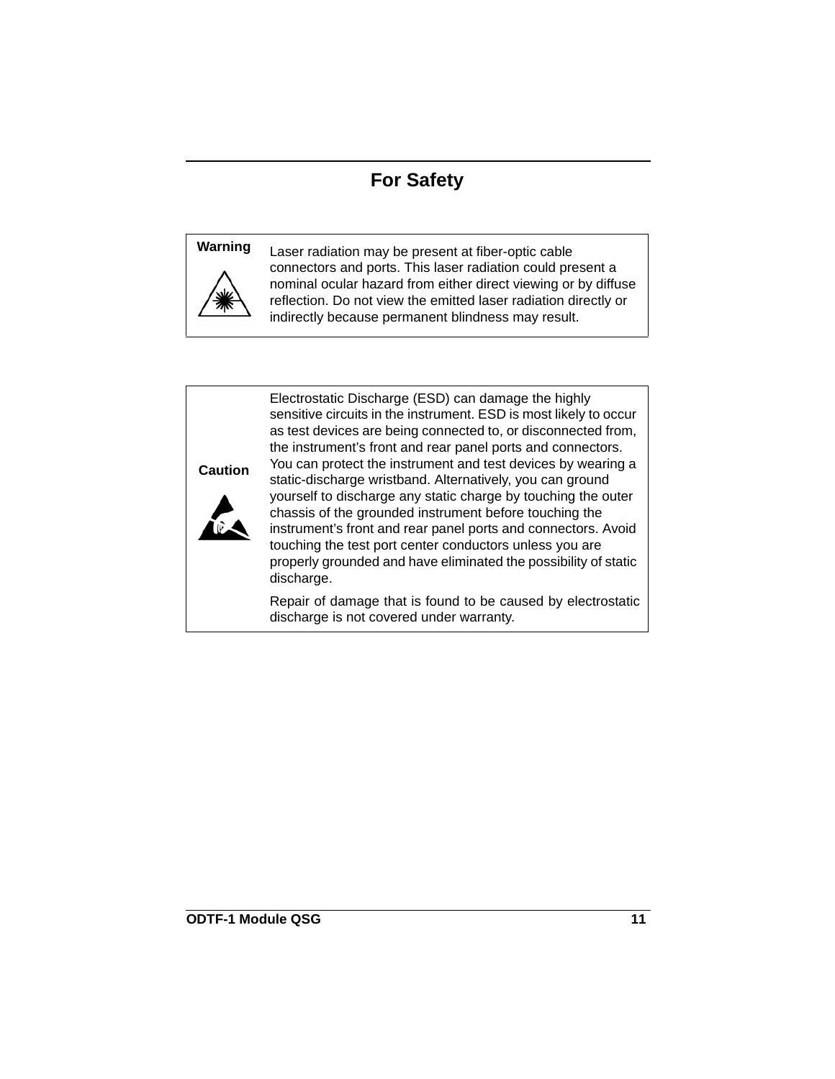### **For Safety**



**Warning** Laser radiation may be present at fiber-optic cable connectors and ports. This laser radiation could present a nominal ocular hazard from either direct viewing or by diffuse reflection. Do not view the emitted laser radiation directly or indirectly because permanent blindness may result.





Electrostatic Discharge (ESD) can damage the highly sensitive circuits in the instrument. ESD is most likely to occur as test devices are being connected to, or disconnected from, the instrument's front and rear panel ports and connectors. You can protect the instrument and test devices by wearing a static-discharge wristband. Alternatively, you can ground yourself to discharge any static charge by touching the outer chassis of the grounded instrument before touching the instrument's front and rear panel ports and connectors. Avoid touching the test port center conductors unless you are properly grounded and have eliminated the possibility of static discharge.

Repair of damage that is found to be caused by electrostatic discharge is not covered under warranty.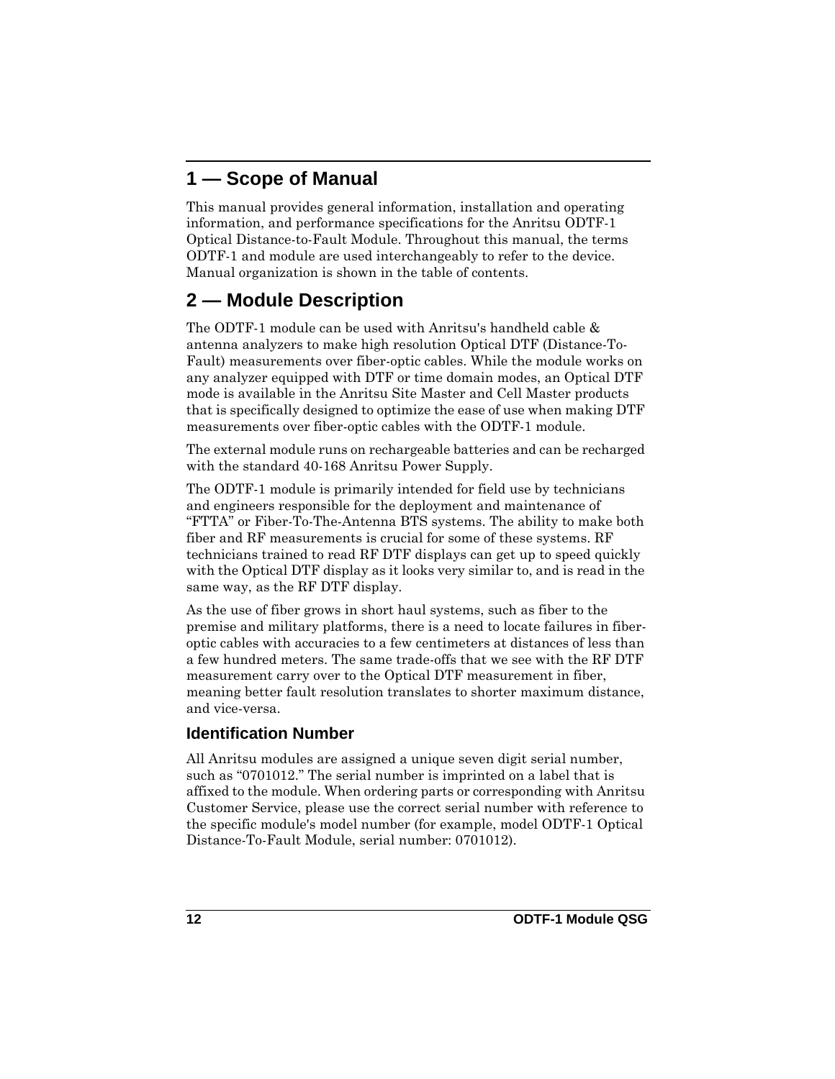## <span id="page-11-0"></span>**1 — Scope of Manual**

This manual provides general information, installation and operating information, and performance specifications for the Anritsu ODTF-1 Optical Distance-to-Fault Module. Throughout this manual, the terms ODTF-1 and module are used interchangeably to refer to the device. Manual organization is shown in the table of contents.

# <span id="page-11-1"></span>**2 — Module Description**

The ODTF-1 module can be used with Anritsu's handheld cable & antenna analyzers to make high resolution Optical DTF (Distance-To-Fault) measurements over fiber-optic cables. While the module works on any analyzer equipped with DTF or time domain modes, an Optical DTF mode is available in the Anritsu Site Master and Cell Master products that is specifically designed to optimize the ease of use when making DTF measurements over fiber-optic cables with the ODTF-1 module.

The external module runs on rechargeable batteries and can be recharged with the standard 40-168 Anritsu Power Supply.

The ODTF-1 module is primarily intended for field use by technicians and engineers responsible for the deployment and maintenance of "FTTA" or Fiber-To-The-Antenna BTS systems. The ability to make both fiber and RF measurements is crucial for some of these systems. RF technicians trained to read RF DTF displays can get up to speed quickly with the Optical DTF display as it looks very similar to, and is read in the same way, as the RF DTF display.

As the use of fiber grows in short haul systems, such as fiber to the premise and military platforms, there is a need to locate failures in fiberoptic cables with accuracies to a few centimeters at distances of less than a few hundred meters. The same trade-offs that we see with the RF DTF measurement carry over to the Optical DTF measurement in fiber, meaning better fault resolution translates to shorter maximum distance, and vice-versa.

#### <span id="page-11-2"></span>**Identification Number**

All Anritsu modules are assigned a unique seven digit serial number, such as "0701012." The serial number is imprinted on a label that is affixed to the module. When ordering parts or corresponding with Anritsu Customer Service, please use the correct serial number with reference to the specific module's model number (for example, model ODTF-1 Optical Distance-To-Fault Module, serial number: 0701012).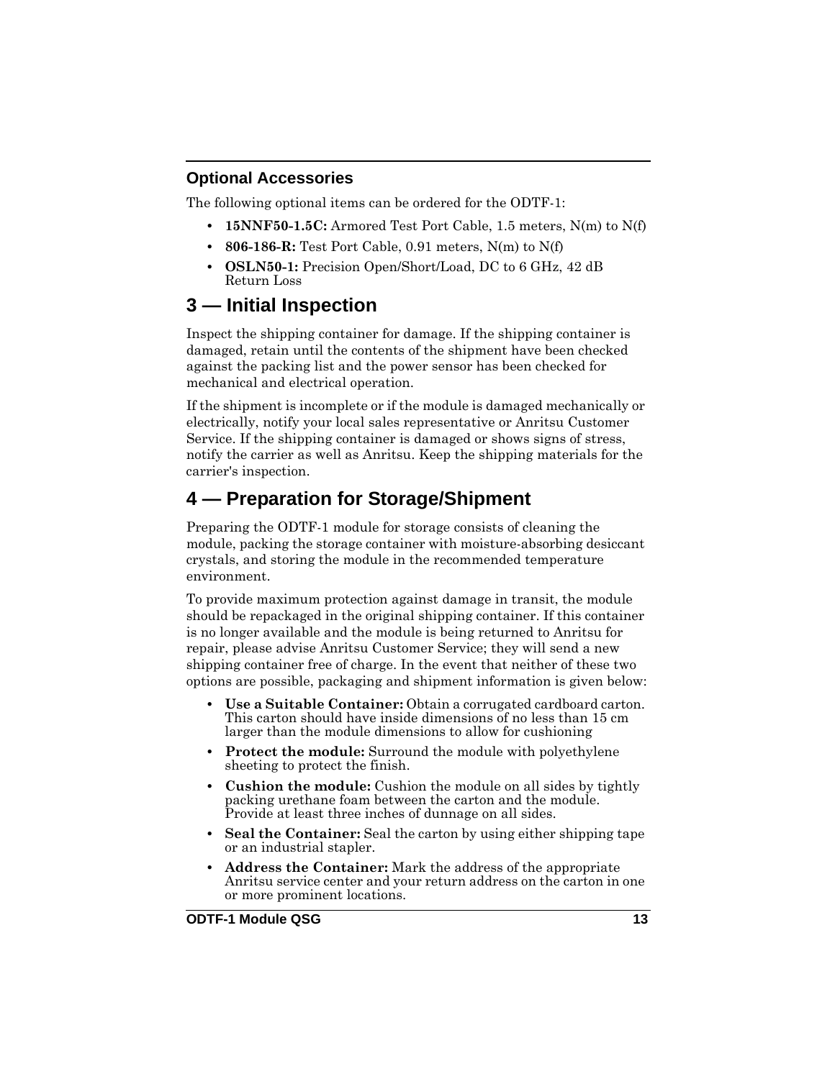#### <span id="page-12-0"></span>**Optional Accessories**

The following optional items can be ordered for the ODTF-1:

- **15NNF50-1.5C:** Armored Test Port Cable, 1.5 meters, N(m) to N(f)
- **806-186-R:** Test Port Cable, 0.91 meters, N(m) to N(f)
- **OSLN50-1:** Precision Open/Short/Load, DC to 6 GHz, 42 dB Return Loss

# <span id="page-12-1"></span>**3 — Initial Inspection**

Inspect the shipping container for damage. If the shipping container is damaged, retain until the contents of the shipment have been checked against the packing list and the power sensor has been checked for mechanical and electrical operation.

If the shipment is incomplete or if the module is damaged mechanically or electrically, notify your local sales representative or Anritsu Customer Service. If the shipping container is damaged or shows signs of stress, notify the carrier as well as Anritsu. Keep the shipping materials for the carrier's inspection.

# <span id="page-12-2"></span>**4 — Preparation for Storage/Shipment**

Preparing the ODTF-1 module for storage consists of cleaning the module, packing the storage container with moisture-absorbing desiccant crystals, and storing the module in the recommended temperature environment.

To provide maximum protection against damage in transit, the module should be repackaged in the original shipping container. If this container is no longer available and the module is being returned to Anritsu for repair, please advise Anritsu Customer Service; they will send a new shipping container free of charge. In the event that neither of these two options are possible, packaging and shipment information is given below:

- **Use a Suitable Container:** Obtain a corrugated cardboard carton. This carton should have inside dimensions of no less than 15 cm larger than the module dimensions to allow for cushioning
- **Protect the module:** Surround the module with polyethylene sheeting to protect the finish.
- **Cushion the module:** Cushion the module on all sides by tightly packing urethane foam between the carton and the module. Provide at least three inches of dunnage on all sides.
- **Seal the Container:** Seal the carton by using either shipping tape or an industrial stapler.
- **Address the Container:** Mark the address of the appropriate Anritsu service center and your return address on the carton in one or more prominent locations.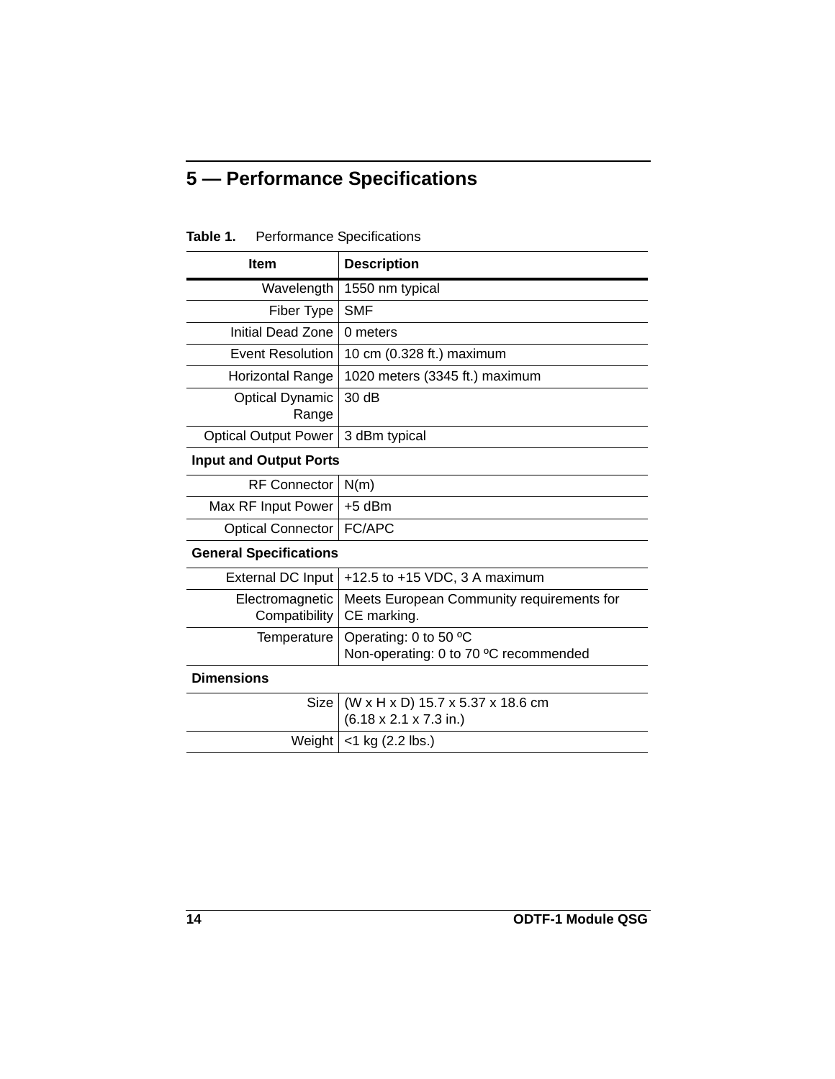# <span id="page-13-0"></span>**5 — Performance Specifications**

| <b>Item</b>                      | <b>Description</b>                                                              |  |  |  |
|----------------------------------|---------------------------------------------------------------------------------|--|--|--|
| Wavelength                       | 1550 nm typical                                                                 |  |  |  |
| Fiber Type                       | <b>SMF</b>                                                                      |  |  |  |
| Initial Dead Zone                | 0 meters                                                                        |  |  |  |
| <b>Event Resolution</b>          | 10 cm (0.328 ft.) maximum                                                       |  |  |  |
| Horizontal Range                 | 1020 meters (3345 ft.) maximum                                                  |  |  |  |
| <b>Optical Dynamic</b><br>Range  | 30 dB                                                                           |  |  |  |
| <b>Optical Output Power</b>      | 3 dBm typical                                                                   |  |  |  |
| <b>Input and Output Ports</b>    |                                                                                 |  |  |  |
| <b>RF Connector</b>              | N(m)                                                                            |  |  |  |
| Max RF Input Power               | $+5$ dBm                                                                        |  |  |  |
| <b>Optical Connector</b>         | FC/APC                                                                          |  |  |  |
| <b>General Specifications</b>    |                                                                                 |  |  |  |
| <b>External DC Input</b>         | +12.5 to +15 VDC, 3 A maximum                                                   |  |  |  |
| Electromagnetic<br>Compatibility | Meets European Community requirements for<br>CE marking.                        |  |  |  |
| Temperature                      | Operating: 0 to 50 °C<br>Non-operating: 0 to 70 °C recommended                  |  |  |  |
| <b>Dimensions</b>                |                                                                                 |  |  |  |
| <b>Size</b>                      | (W x H x D) 15.7 x 5.37 x 18.6 cm<br>$(6.18 \times 2.1 \times 7.3 \text{ in.})$ |  |  |  |
| Weight                           | <1 kg (2.2 lbs.)                                                                |  |  |  |

#### **Table 1.** Performance Specifications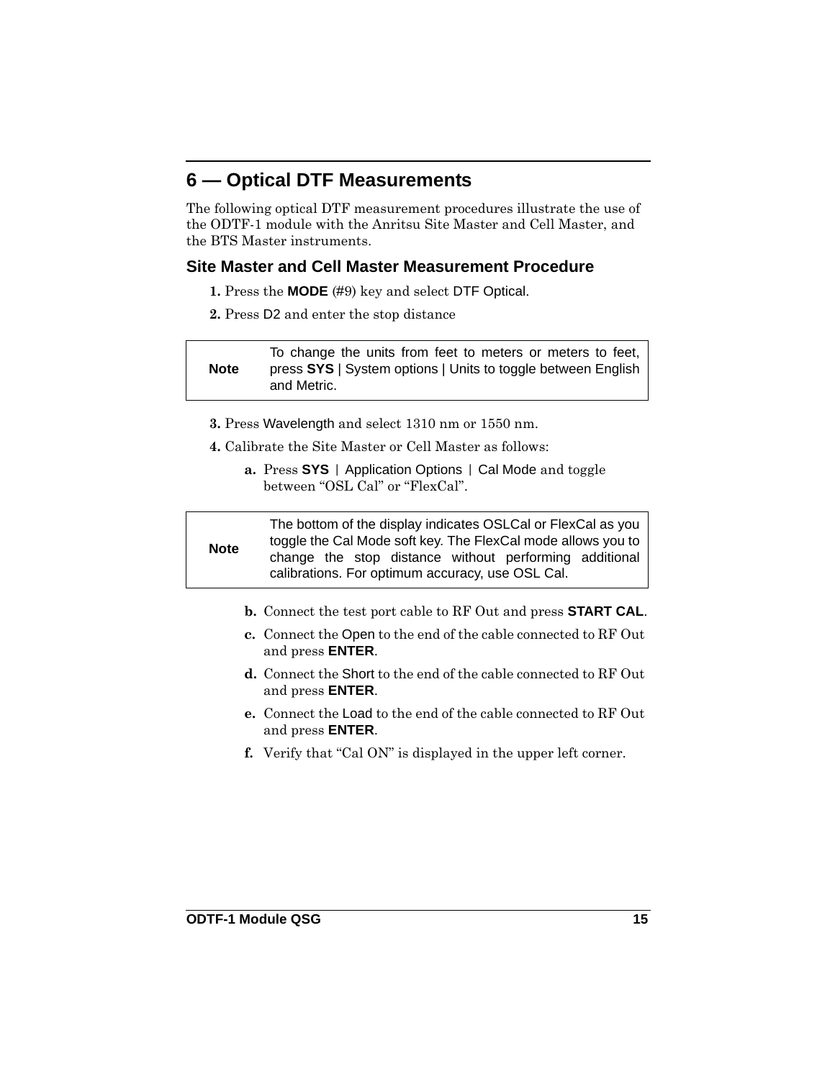#### <span id="page-14-0"></span>**6 — Optical DTF Measurements**

The following optical DTF measurement procedures illustrate the use of the ODTF-1 module with the Anritsu Site Master and Cell Master, and the BTS Master instruments.

#### <span id="page-14-1"></span>**Site Master and Cell Master Measurement Procedure**

- **1.** Press the **MODE** (#9) key and select DTF Optical.
- **2.** Press D2 and enter the stop distance

**Note** To change the units from feet to meters or meters to feet, press **SYS** | System options | Units to toggle between English and Metric.

- **3.** Press Wavelength and select 1310 nm or 1550 nm.
- **4.** Calibrate the Site Master or Cell Master as follows:
	- **a.** Press **SYS** | Application Options | Cal Mode and toggle between "OSL Cal" or "FlexCal".

**Note** The bottom of the display indicates OSLCal or FlexCal as you toggle the Cal Mode soft key. The FlexCal mode allows you to change the stop distance without performing additional calibrations. For optimum accuracy, use OSL Cal.

- **b.** Connect the test port cable to RF Out and press **START CAL**.
- **c.** Connect the Open to the end of the cable connected to RF Out and press **ENTER**.
- **d.** Connect the Short to the end of the cable connected to RF Out and press **ENTER**.
- **e.** Connect the Load to the end of the cable connected to RF Out and press **ENTER**.
- **f.** Verify that "Cal ON" is displayed in the upper left corner.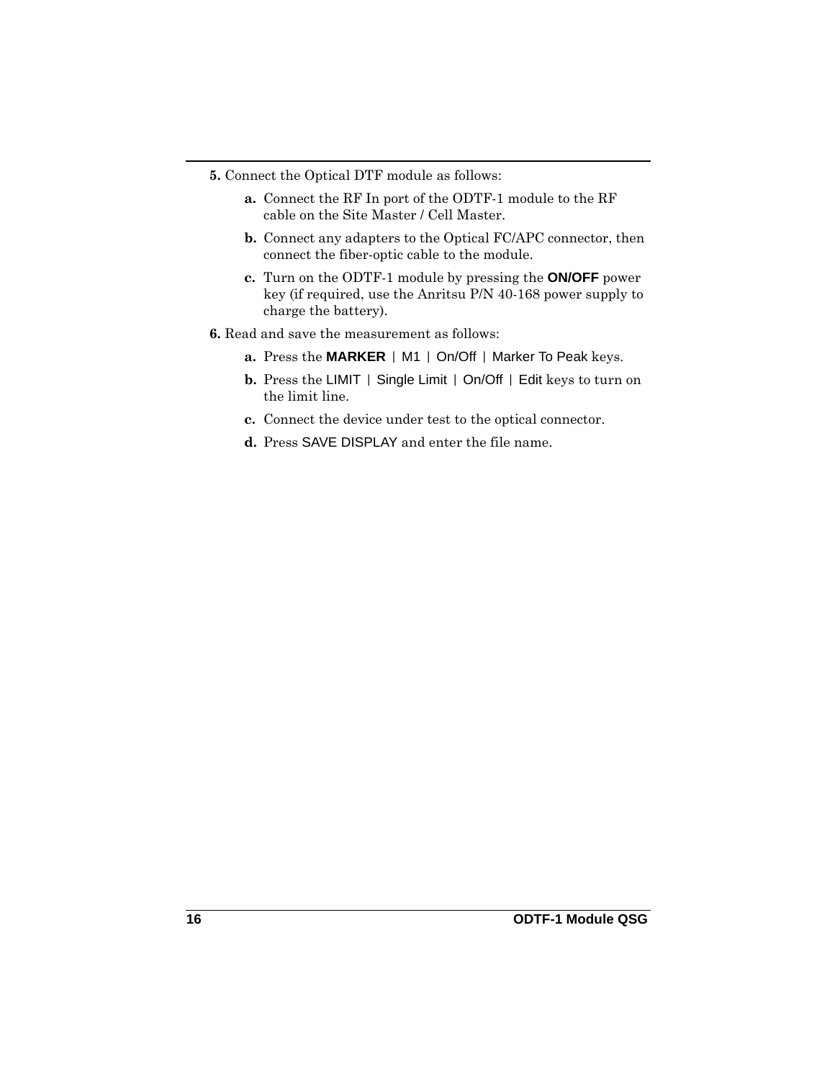- **5.** Connect the Optical DTF module as follows:
	- **a.** Connect the RF In port of the ODTF-1 module to the RF cable on the Site Master / Cell Master.
	- **b.** Connect any adapters to the Optical FC/APC connector, then connect the fiber-optic cable to the module.
	- **c.** Turn on the ODTF-1 module by pressing the **ON/OFF** power key (if required, use the Anritsu P/N 40-168 power supply to charge the battery).
- **6.** Read and save the measurement as follows:
	- **a.** Press the **MARKER** | M1 | On/Off | Marker To Peak keys.
	- **b.** Press the LIMIT | Single Limit | On/Off | Edit keys to turn on the limit line.
	- **c.** Connect the device under test to the optical connector.
	- **d.** Press SAVE DISPLAY and enter the file name.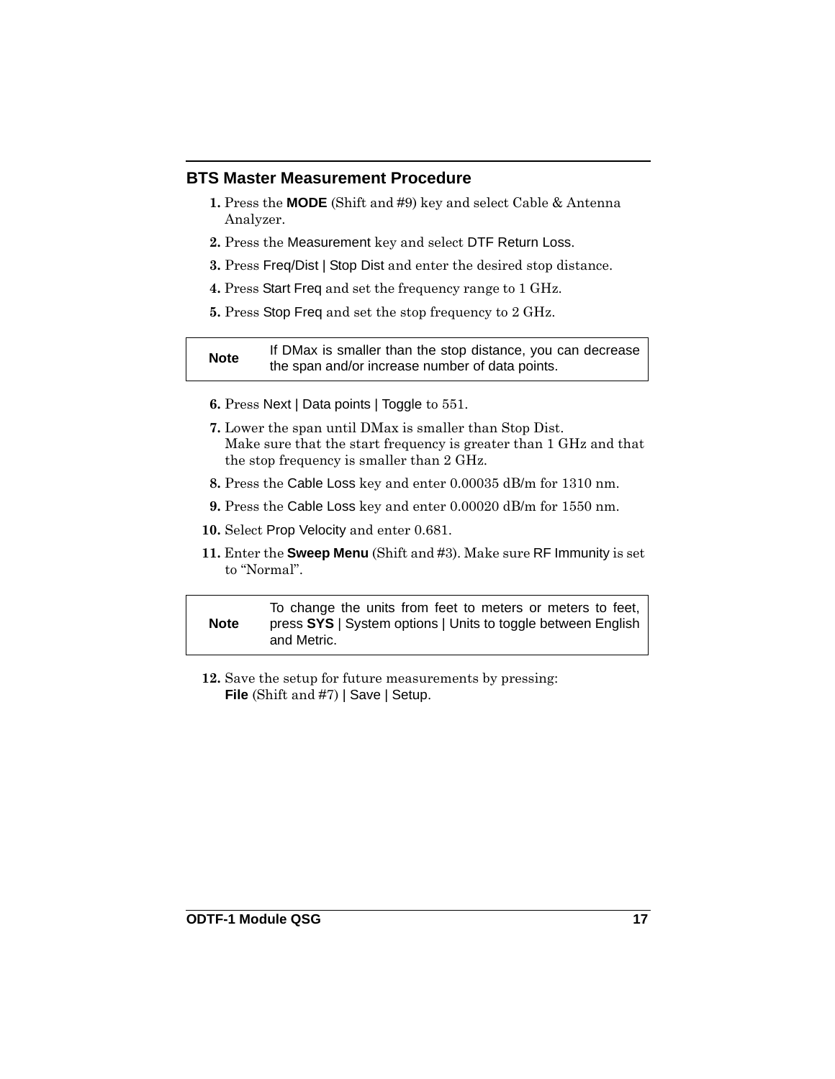#### <span id="page-16-0"></span>**BTS Master Measurement Procedure**

- **1.** Press the **MODE** (Shift and #9) key and select Cable & Antenna Analyzer.
- **2.** Press the Measurement key and select DTF Return Loss.
- **3.** Press Freq/Dist | Stop Dist and enter the desired stop distance.
- **4.** Press Start Freq and set the frequency range to 1 GHz.
- **5.** Press Stop Freq and set the stop frequency to 2 GHz.

| <b>Note</b> | If DMax is smaller than the stop distance, you can decrease |
|-------------|-------------------------------------------------------------|
|             | the span and/or increase number of data points.             |

- **6.** Press Next | Data points | Toggle to 551.
- **7.** Lower the span until DMax is smaller than Stop Dist. Make sure that the start frequency is greater than 1 GHz and that the stop frequency is smaller than 2 GHz.
- **8.** Press the Cable Loss key and enter 0.00035 dB/m for 1310 nm.
- **9.** Press the Cable Loss key and enter 0.00020 dB/m for 1550 nm.
- **10.** Select Prop Velocity and enter 0.681.
- **11.** Enter the **Sweep Menu** (Shift and #3). Make sure RF Immunity is set to "Normal".

**Note** To change the units from feet to meters or meters to feet, press **SYS** | System options | Units to toggle between English and Metric.

**12.** Save the setup for future measurements by pressing: **File** (Shift and #7) | Save | Setup.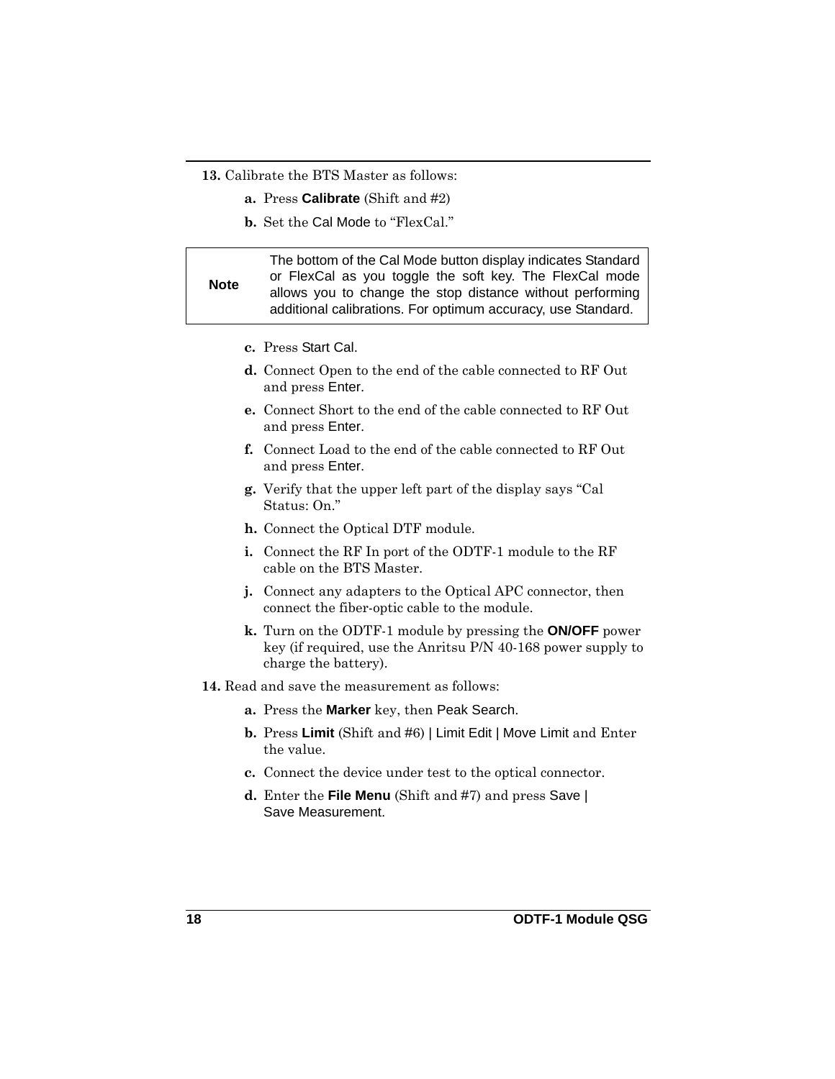**13.** Calibrate the BTS Master as follows:

- **a.** Press **Calibrate** (Shift and #2)
- **b.** Set the Cal Mode to "FlexCal."

| <b>Note</b> | The bottom of the Cal Mode button display indicates Standard<br>or FlexCal as you toggle the soft key. The FlexCal mode   |
|-------------|---------------------------------------------------------------------------------------------------------------------------|
|             | allows you to change the stop distance without performing<br>additional calibrations. For optimum accuracy, use Standard. |

- **c.** Press Start Cal.
- **d.** Connect Open to the end of the cable connected to RF Out and press Enter.
- **e.** Connect Short to the end of the cable connected to RF Out and press Enter.
- **f.** Connect Load to the end of the cable connected to RF Out and press Enter.
- **g.** Verify that the upper left part of the display says "Cal Status: On."
- **h.** Connect the Optical DTF module.
- **i.** Connect the RF In port of the ODTF-1 module to the RF cable on the BTS Master.
- **j.** Connect any adapters to the Optical APC connector, then connect the fiber-optic cable to the module.
- **k.** Turn on the ODTF-1 module by pressing the **ON/OFF** power key (if required, use the Anritsu P/N 40-168 power supply to charge the battery).
- **14.** Read and save the measurement as follows:
	- **a.** Press the **Marker** key, then Peak Search.
	- **b.** Press **Limit** (Shift and #6) | Limit Edit | Move Limit and Enter the value.
	- **c.** Connect the device under test to the optical connector.
	- **d.** Enter the **File Menu** (Shift and #7) and press Save | Save Measurement.